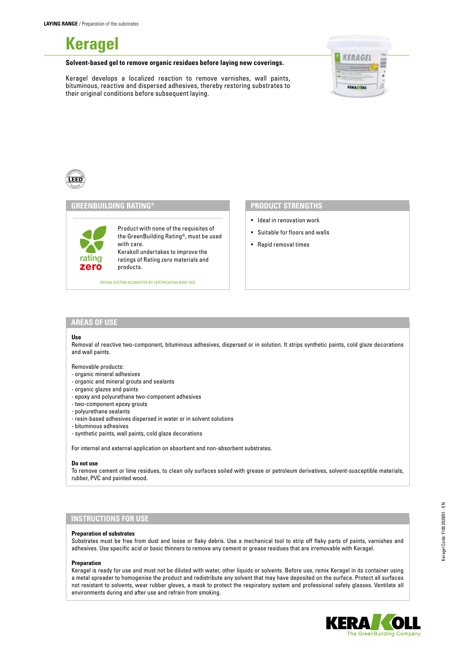**Keragel**

**Solvent-based gel to remove organic residues before laying new coverings.**

Keragel develops a localized reaction to remove varnishes, wall paints, bituminous, reactive and dispersed adhesives, thereby restoring substrates to their original conditions before subsequent laying.





# **GREENBUILDING RATING®**

Product with none of the requisites of the GreenBuilding Rating®, must be used with care. Kerakoll undertakes to improve the ratings of Rating zero materials and products.

RATING SYSTEM ACCREDITED BY CERTIFICATION BODY SGS

## **PRODUCT STRENGTHS**

- Ideal in renovation work
- Suitable for floors and walls
- Rapid removal times

## **AREAS OF USE**

zero rating

#### **Use**

Removal of reactive two-component, bituminous adhesives, dispersed or in solution. It strips synthetic paints, cold glaze decorations and wall paints.

#### Removable products:

- organic mineral adhesives
- organic and mineral grouts and sealants
- organic glazes and paints
- epoxy and polyurethane two-component adhesives
- two-component epoxy grouts
- polyurethane sealants
- resin-based adhesives dispersed in water or in solvent solutions
- bituminous adhesives
- synthetic paints, wall paints, cold glaze decorations

For internal and external application on absorbent and non-absorbent substrates.

#### **Do not use**

To remove cement or lime residues, to clean oily surfaces soiled with grease or petroleum derivatives, solvent-susceptible materials, rubber, PVC and painted wood.

# **INSTRUCTIONS FOR USE**

#### **Preparation of substrates**

Substrates must be free from dust and loose or flaky debris. Use a mechanical tool to strip off flaky parts of paints, varnishes and adhesives. Use specific acid or basic thinners to remove any cement or grease residues that are irremovable with Keragel.

#### **Preparation**

Keragel is ready for use and must not be diluted with water, other liquids or solvents. Before use, remix Keragel in its container using a metal spreader to homogenise the product and redistribute any solvent that may have deposited on the surface. Protect all surfaces not resistant to solvents, wear rubber gloves, a mask to protect the respiratory system and professional safety glasses. Ventilate all environments during and after use and refrain from smoking.

Keragel Code: F103 2020/01 - EN

Keragel Code: F103 2020/01 - EN